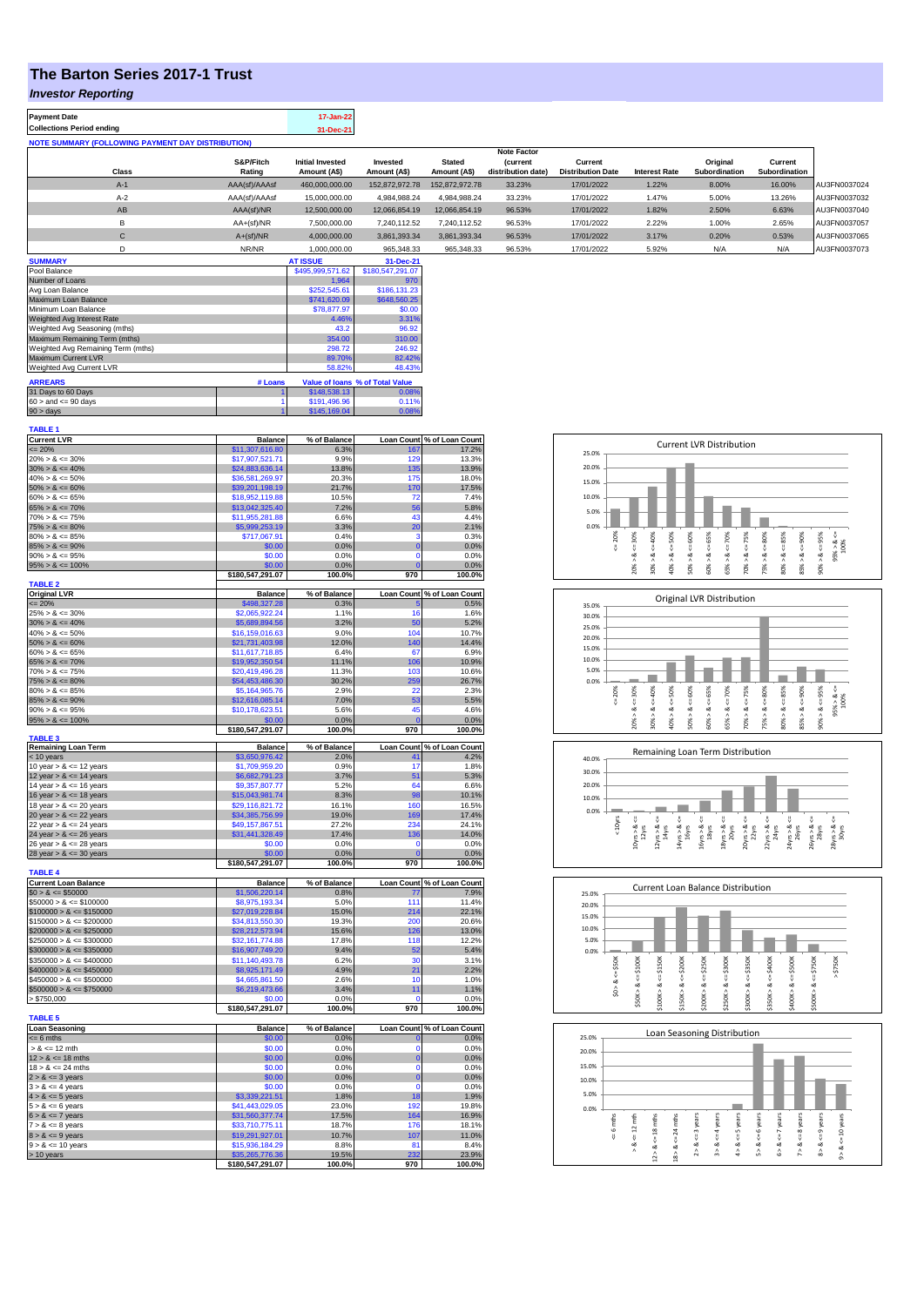## **The Barton Series 2017-1 Trust**

## *Investor Reporting*

| <b>Payment Date</b>                                      | 17-Jan-22 |
|----------------------------------------------------------|-----------|
| <b>Collections Period ending</b>                         | 31-Dec-21 |
| <b>NOTE SUMMARY (FOLLOWING PAYMENT DAY DISTRIBUTION)</b> |           |

|              |               |                         |                      |                | <b>Note Factor</b> |                          |                      |               |               |              |
|--------------|---------------|-------------------------|----------------------|----------------|--------------------|--------------------------|----------------------|---------------|---------------|--------------|
|              | S&P/Fitch     | <b>Initial Invested</b> | Invested             | <b>Stated</b>  | <i>(current</i>    | Current                  |                      | Original      | Current       |              |
| <b>Class</b> | Rating        | Amount (A\$)            | Amount (A\$)         | Amount (A\$)   | distribution date) | <b>Distribution Date</b> | <b>Interest Rate</b> | Subordination | Subordination |              |
| $A-1$        | AAA(sf)/AAAsf | 460,000,000.00          | 152,872,972.78       | 152.872.972.78 | 33.23%             | 17/01/2022               | 1.22%                | 8.00%         | 16.00%        | AU3FN0037024 |
| $A-2$        | AAA(sf)/AAAsf | 15,000,000.00           | 4.984.988.24         | 4,984,988.24   | 33.23%             | 17/01/2022               | 1.47%                | 5.00%         | 13.26%        | AU3FN0037032 |
| AB           | AAA(sf)/NR    | 12,500,000.00           | 12,066,854.19        | 12.066.854.19  | 96.53%             | 17/01/2022               | 1.82%                | 2.50%         | 6.63%         | AU3FN0037040 |
|              | $AA+(sf)/NR$  | 7,500,000.00            | 7.240.112.52         | 7.240.112.52   | 96.53%             | 17/01/2022               | 2.22%                | 1.00%         | 2.65%         | AU3FN0037057 |
| C            | $A+(sf)/NR$   | 4,000,000.00            | 3.861.393.34         | 3.861.393.34   | 96.53%             | 17/01/2022               | 3.17%                | 0.20%         | 0.53%         | AU3FN0037065 |
|              | NR/NR         | 1,000,000.00            | 965.348.33           | 965,348.33     | 96.53%             | 17/01/2022               | 5.92%                | N/A           | N/A           | AU3FN0037073 |
| A            |               | 17.50                   | $\sim$ $\sim$ $\sim$ |                |                    |                          |                      |               |               |              |

| <b>SUMMARY</b>                     |         | <b>AT ISSUE</b>  | 31-Dec-21                       |
|------------------------------------|---------|------------------|---------------------------------|
| Pool Balance                       |         | \$495,999,571.62 | \$180,547,291.07                |
| Number of Loans                    |         | 1.964            | 970                             |
| Avg Loan Balance                   |         | \$252,545.61     | \$186,131,23                    |
| Maximum Loan Balance               |         | \$741,620.09     | \$648,560.25                    |
| Minimum Loan Balance               |         | \$78,877.97      | \$0.00                          |
| Weighted Avg Interest Rate         |         | 4.46%            | 3.31%                           |
| Weighted Avg Seasoning (mths)      |         | 43.2             | 96.92                           |
| Maximum Remaining Term (mths)      |         | 354.00           | 310.00                          |
| Weighted Avg Remaining Term (mths) |         | 298.72           | 246.92                          |
| Maximum Current LVR                |         | 89.70%           | 82.42%                          |
| Weighted Avg Current LVR           |         | 58.82%           | 48.43%                          |
| <b>ARREARS</b>                     | # Loans |                  | Value of Ioans % of Total Value |
| 31 Days to 60 Days                 |         | \$148,538.13     | 0.08%                           |
| $60 >$ and $\leq 90$ days          |         | \$191.496.96     | 0.11%                           |
| $90 >$ days                        |         | \$145,169.04     | 0.08%                           |

| <b>TABLE 1</b>                              |                                    |                |                         |                            |
|---------------------------------------------|------------------------------------|----------------|-------------------------|----------------------------|
| <b>Current LVR</b>                          | <b>Balance</b>                     | % of Balance   |                         | Loan Count % of Loan Count |
| $= 20%$                                     | \$11,307,616.80                    | 6.3%           | 167                     | 17.2%                      |
| $20\% > 8 \le 30\%$                         | \$17,907,521.71                    | 9.9%           | 129                     | 13.3%                      |
| $30\% > 8 \le 40\%$                         | \$24,883,636.14                    | 13.8%          | 135                     | 13.9%                      |
| $40\% > 8 \le 50\%$                         | \$36,581,269.97                    | 20.3%          | 175                     | 18.0%                      |
| $50\% > 8 \le 60\%$<br>$60\% > 8 \le 65\%$  | \$39,201,198.19<br>\$18,952,119.88 | 21.7%<br>10.5% | 170<br>72               | 17.5%<br>7.4%              |
| $65\% > 8 \le 70\%$                         | \$13,042,325.40                    | 7.2%           | 56                      | 5.8%                       |
| $70\% > 8 \le 75\%$                         | \$11,955,281.88                    | 6.6%           | 43                      | 4.4%                       |
| $75\% > 8 \le 80\%$                         | \$5,999,253.19                     | 3.3%           | 20                      | 2.1%                       |
| $80\% > 8 \le 85\%$                         | \$717,067.91                       | 0.4%           | з                       | 0.3%                       |
| $85\% > 8 \le 90\%$                         | \$0.00                             | 0.0%           | $\mathbf 0$             | 0.0%                       |
| $90\% > 8 \le 95\%$                         | \$0.00                             | 0.0%           | $\mathbf 0$             | 0.0%                       |
| $95\% > 8 \le 100\%$                        | \$0.00                             | 0.0%           | $\overline{0}$          | 0.0%                       |
|                                             | \$180,547,291.07                   | 100.0%         | 970                     | 100.0%                     |
| <b>TABLE 2</b>                              |                                    |                |                         |                            |
| <b>Original LVR</b>                         | <b>Balance</b>                     | % of Balance   |                         | Loan Count % of Loan Count |
| $\leq$ 20%                                  | \$498,327.28                       | 0.3%           | 5                       | 0.5%                       |
| $25\% > 8 \le 30\%$                         | \$2,065,922.24                     | 1.1%           | 16                      | 1.6%                       |
| $30\% > 8 \le 40\%$                         | \$5,689,894.56                     | 3.2%           | 50                      | 5.2%                       |
| $40\% > 8 \le 50\%$                         | \$16,159,016.63                    | 9.0%           | 104                     | 10.7%                      |
| $50\% > 8 \le 60\%$                         | \$21,731,403.98                    | 12.0%          | 140                     | 14.4%                      |
| $60\% > 8 \le 65\%$                         | \$11,617,718.85                    | 6.4%           | 67                      | 6.9%                       |
| $65\% > 8 \le 70\%$                         | \$19,952,350.54                    | 11.1%          | 106                     | 10.9%                      |
| $70\% > 8 \le 75\%$                         | \$20,419,496.28                    | 11.3%          | 10 <sup>3</sup>         | 10.6%                      |
| $75\% > 8 \le 80\%$<br>$80\% > 8 \leq 85\%$ | \$54,453,486.30<br>\$5.164.965.76  | 30.2%<br>2.9%  | 259<br>22               | 26.7%<br>2.3%              |
| $85\% > 8 \le 90\%$                         |                                    |                | 53                      | 5.5%                       |
| $90\% > 8 \le 95\%$                         | \$12,616,085.14                    | 7.0%<br>5.6%   | 45                      | 4.6%                       |
| $95\% > 8 \le 100\%$                        | \$10,178,623.51<br>\$0.00          | 0.0%           |                         | 0.0%                       |
|                                             | \$180,547,291.07                   | 100.0%         | 970                     | 100.0%                     |
| <b>TABLE 3</b>                              |                                    |                |                         |                            |
| Remaining Loan Term                         | <b>Balance</b>                     | % of Balance   | <b>Loan Count</b>       | % of Loan Count            |
| < 10 years                                  | \$3,650,976.42                     | 2.0%           |                         | 4.2%                       |
| 10 year $> 8 \le 12$ years                  | \$1,709,959.20                     | 0.9%           | 17                      | 1.8%                       |
| 12 year $> 8 < 14$ years                    | \$6,682,791.23                     | 3.7%           | 51                      | 5.3%                       |
| 14 year $> 8 \le 16$ years                  | \$9,357,807.77                     | 5.2%           | 64                      | 6.6%                       |
| 16 year $> 8 \le 18$ years                  | \$15,043,981.74                    | 8.3%           | 98                      | 10.1%                      |
| 18 year $> 8 \le 20$ years                  | \$29.116.821.72                    | 16.1%          | 160                     | 16.5%                      |
| 20 year $> 8 \le 22$ years                  | \$34,385,756.99                    | 19.0%          | 169                     | 17.4%                      |
| 22 year $> 8 \le 24$ years                  | \$49,157,867.51                    | 27.2%          | 234                     | 24.1%                      |
| 24 year $> 8 \le 26$ years                  | \$31,441,328.49                    | 17.4%          | 136                     | 14.0%                      |
| 26 year $> 8 \le 28$ years                  | \$0.00                             | 0.0%           | 0                       | 0.0%                       |
| 28 year $> 8 \le 30$ years                  | \$0.00                             | 0.0%           | O                       | 0.0%                       |
| <b>TABLE 4</b>                              | \$180,547,291.07                   | 100.0%         | 970                     | 100.0%                     |
| <b>Current Loan Balance</b>                 | <b>Balance</b>                     | % of Balance   |                         | Loan Count % of Loan Count |
| $$0 > 8 \le $50000$                         | \$1,506,220.14                     | 0.8%           | 77                      | 7.9%                       |
| $$50000 > 8 \le $100000$                    | \$8,975,193.34                     | 5.0%           | 111                     | 11.4%                      |
| $$100000 > 8 \le $150000$                   | \$27,019,228.84                    | 15.0%          | 214                     | 22.1%                      |
| $$150000 > 8 \le $200000$                   | \$34,813,550.30                    | 19.3%          | 200                     | 20.6%                      |
| $$200000 > 8 \leq $250000$                  | \$28,212,573.94                    | 15.6%          | 126                     | 13.0%                      |
| $$250000 > 8 \le $300000$                   | \$32,161,774.88                    | 17.8%          | 118                     | 12.2%                      |
| $$300000 > 8 \le $350000$                   | \$16,907,749.20                    | 9.4%           | 52                      | 5.4%                       |
| $$350000 > 8 \le $400000$                   | \$11,140,493.78                    | 6.2%           | 30                      | 3.1%                       |
| $$400000 > 8 \le $450000$                   | \$8,925,171.49                     | 4.9%           | 21                      | 2.2%                       |
| $$450000 > 8 \leq $500000$                  | \$4,665,861,50                     | 2.6%           | 10                      | 1.0%                       |
| $$500000 > 8 \le $750000$                   | \$6,219,473.66                     | 3.4%           | 11                      | 1.1%                       |
| > \$750,000                                 | \$0.00                             | 0.0%           | $\Omega$                | 0.0%                       |
|                                             | \$180,547,291.07                   | 100.0%         | 970                     | 100.0%                     |
| <b>TABLE 5</b>                              |                                    |                |                         |                            |
| <b>Loan Seasoning</b>                       | <b>Balance</b>                     | % of Balance   |                         | Loan Count % of Loan Count |
| $= 6$ mths                                  | \$0.00                             | 0.0%           | $\mathbf 0$             | 0.0%                       |
| $> 8 \le 12$ mth                            | \$0.00                             | 0.0%           | $\mathbf 0$             | 0.0%                       |
| $12 > 8 \le 18$ mths                        | \$0.00                             | 0.0%           | $\bf{0}$                | 0.0%                       |
| $18 > 8 \le 24$ mths                        | \$0.00                             | 0.0%           | $\Omega$<br>$\mathbf 0$ | 0.0%                       |
| $2 > 8 \leq 3$ years                        | \$0.00<br>\$0.00                   | 0.0%<br>0.0%   | $\mathbf 0$             | 0.0%                       |
| $3 > 8 \le 4$ years                         | \$3,339,221.51                     | 1.8%           | 18                      | 0.0%<br>1.9%               |
| $4 > 8 \le 5$ years<br>$5 > 8 \le 6$ years  | \$41,443,029.05                    | 23.0%          | 192                     | 19.8%                      |
| $6 > 8 \le 7$ years                         | \$31,560,377.74                    | 17.5%          | 164                     | 16.9%                      |
| $7 > 8 \le 8$ years                         | \$33,710,775.11                    | 18.7%          | 176                     | 18.1%                      |
| $8 > 8 \le 9$ years                         | \$19,291,927.01                    | 10.7%          | 107                     | 11.0%                      |
| $9 > 8 \le 10$ years                        | \$15,936,184.29                    | 8.8%           | 81                      | 8.4%                       |
| > 10 years                                  | \$35,265,776.36                    | 19.5%          | 232                     | 23.9%                      |
|                                             | \$180,547,291.07                   | 100.0%         | 970                     | 100.0%                     |
|                                             |                                    |                |                         |                            |







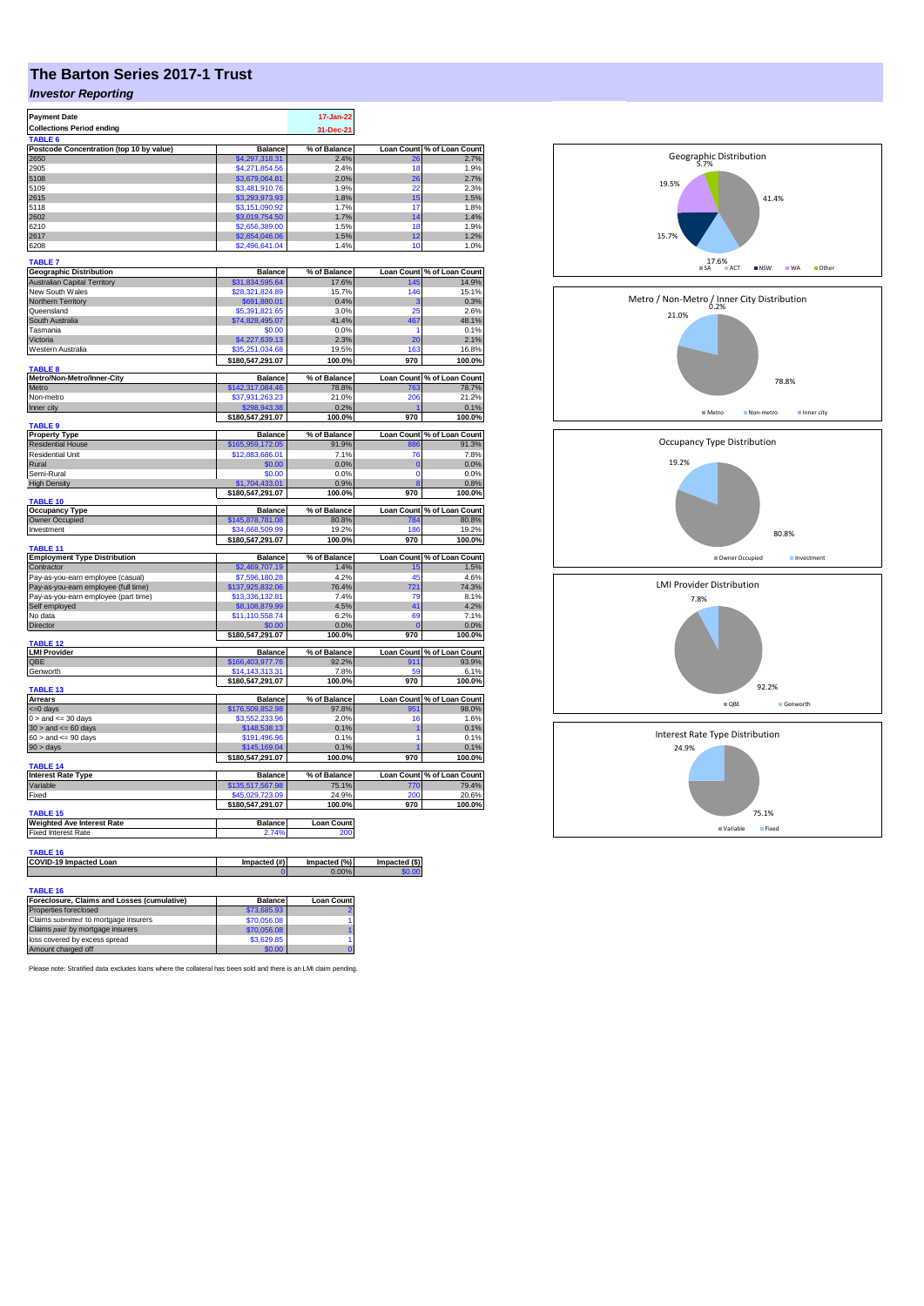# **The Barton Series 2017-1 Trust**

## *Investor Reporting*

| <b>Payment Date</b>                      |                  | 17-Jan-22         |                   |                                               |
|------------------------------------------|------------------|-------------------|-------------------|-----------------------------------------------|
| <b>Collections Period ending</b>         |                  | 31-Dec-21         |                   |                                               |
| TABLE <sub>6</sub>                       |                  |                   |                   |                                               |
| Postcode Concentration (top 10 by value) | <b>Balance</b>   | % of Balance      | <b>Loan Count</b> | % of Loan Count                               |
| 2650                                     | \$4,297,318.31   | 2.4%              | 9۴                | 2.7%                                          |
| 2905                                     | \$4,271,854.56   | 2.4%              | 18                | 1.9%                                          |
| 5108                                     | \$3,679,064.81   | 2.0%              | 26                | 2.7%                                          |
| 5109                                     | \$3,481,910.76   | 1.9%              | 22                | 2.3%                                          |
| 2615                                     | \$3,293,973.93   | 1.8%              | 15                | 1.5%                                          |
| 5118                                     | \$3.151.090.92   | 1.7%              | 17                | 1.8%                                          |
| 2602                                     | \$3,019,754.50   | 1.7%              | 14                | 1.4%                                          |
| 6210                                     | \$2,656,389.00   | 1.5%              | 18                | 1.9%                                          |
| 2617                                     | \$2,654,046.06   | 1.5%              | 12                | 1.2%                                          |
| 6208                                     | \$2,496,641.04   | 1.4%              | 10                | 1.0%                                          |
| <b>TABLE 7</b>                           |                  |                   |                   |                                               |
| <b>Geographic Distribution</b>           | <b>Balance</b>   | % of Balance      | <b>Loan Count</b> | % of Loan Count                               |
| <b>Australian Capital Territory</b>      | \$31,834,595.64  | 17.6%             | 145               | 14.9%                                         |
| New South Wales                          | \$28,321,824.89  | 15.7%             | 146               | 15.1%                                         |
| Northern Territory                       | \$691,880.01     | 0.4%              | 3                 | 0.3%                                          |
| Queensland                               | \$5,391,821.65   | 3.0%              | 25                | 2.6%                                          |
| South Australia                          | \$74,828,495.07  | 41.4%             | 467               | 48.1%                                         |
| Tasmania                                 | \$0.00           | 0.0%              | 1                 | 0.1%                                          |
| Victoria                                 | \$4,227,639.13   | 2.3%              | 20                | 2.1%                                          |
| Western Australia                        | \$35,251,034.68  | 19.5%             | 163               | 16.8%                                         |
|                                          | \$180,547,291.07 | 100.0%            | 970               | 100.0%                                        |
| <b>TABLE 8</b>                           |                  |                   |                   |                                               |
| Metro/Non-Metro/Inner-City               | <b>Balance</b>   | % of Balance      | <b>Loan Count</b> | % of Loan Count                               |
| Metro                                    | \$142,317,084.46 | 78.8%             | 763               | 78.7%                                         |
| Non-metro                                | \$37,931,263.23  | 21.0%             | 206               | 21.2%                                         |
| Inner city                               | \$298,943.38     | 0.2%              |                   | 0.1%                                          |
|                                          | \$180,547,291.07 | 100.0%            | 970               | 100.0%                                        |
| <b>TABLE 9</b>                           |                  |                   |                   |                                               |
| <b>Property Type</b>                     | <b>Balance</b>   | % of Balance      |                   | Loan Count % of Loan Count                    |
| <b>Residential House</b>                 | \$165,959,172.05 | 91.9%             | 886               | 91.3%                                         |
| <b>Residential Unit</b>                  | \$12,883,686.01  | 7.1%              | 76                | 7.8%                                          |
| Rural                                    | \$0.00           | 0.0%              | $\mathbf 0$       | 0.0%                                          |
| Semi-Rural                               | \$0.00           | 0.0%              | $\Omega$          | 0.0%                                          |
| <b>High Density</b>                      | \$1.704.433.01   | 0.9%              |                   | 0.8%                                          |
| <b>TABLE 10</b>                          | \$180,547,291.07 | 100.0%            | 970               | 100.0%                                        |
| <b>Occupancy Type</b>                    | <b>Balance</b>   | % of Balance      | <b>Loan Count</b> | % of Loan Count                               |
| Owner Occupied                           | \$145,878,781.08 | 80.8%             | 784               | 80.8%                                         |
|                                          |                  |                   |                   |                                               |
|                                          |                  | 19.2%             | 186               |                                               |
| Investment                               | \$34,668,509.99  | 100.0%            | 970               |                                               |
| TABLE <sub>11</sub>                      | \$180,547,291.07 |                   |                   |                                               |
| <b>Employment Type Distribution</b>      | <b>Balance</b>   | % of Balance      |                   | 19.2%<br>100.0%<br>Loan Count % of Loan Count |
| Contractor                               | \$2,469,707.19   | 1.4%              | 15                |                                               |
| Pay-as-you-earn employee (casual)        | \$7,596,180.28   | 4.2%              | 45                |                                               |
| Pay-as-you-earn employee (full time)     | 137,925,832.06   | 76.4%             | 721               |                                               |
| Pay-as-you-earn employee (part time)     | \$13,336,132.81  | 7.4%              | 79                |                                               |
| Self employed                            | \$8,108,879.99   | 4.5%              | 41                | 4.6%<br>74.3%<br>8.1%<br>4.2%                 |
| No data                                  | \$11,110,558.74  | 6.2%              | 69                | 7.1%                                          |
| Director                                 | \$0.00           | 0.0%              | $\mathbf{0}$      | 0.0%                                          |
|                                          | \$180,547,291.07 | 100.0%            | 970               | 100.0%                                        |
| <b>TABLE 12</b>                          |                  |                   |                   |                                               |
| <b>LMI Provider</b>                      | <b>Balance</b>   | % of Balance      |                   |                                               |
| OBE                                      | \$166,403,977.76 | 92.2%             | 911               |                                               |
| Genworth                                 | \$14,143,313.31  | 7.8%              | 59                | Loan Count % of Loan Count<br>93.9%<br>6.1%   |
|                                          | \$180,547,291.07 | 100.0%            | 970               | 100.0%                                        |
| <b>TABLE 13</b><br><b>Arrears</b>        | <b>Balance</b>   | % of Balance      | <b>Loan Count</b> | % of Loan Count                               |
| <= 0 days                                | \$176,509,852.98 | 97.8%             | 951               | 98.0%                                         |
| $0 >$ and $\leq 30$ days                 | \$3,552,233,96   | 2.0%              | 16                | 1.6%                                          |
| $30 >$ and $\leq 60$ days                | \$148,538.13     | 0.1%              | 1                 | 0.1%                                          |
|                                          | \$191,496.96     | 0.1%              | 1                 | 0.1%                                          |
| $60 >$ and $\leq 90$ days<br>90 > days   | \$145,169.04     | 0.1%              | 1                 | 0.1%                                          |
|                                          | \$180,547,291.07 | 100.0%            | 970               | 100.0%                                        |
| TABLE 14                                 |                  |                   |                   |                                               |
| <b>Interest Rate Type</b>                | <b>Balance</b>   | % of Balance      |                   | Loan Count % of Loan Count                    |
| Variable                                 | \$135,517,567.98 | 75.1%             | 770               | 79.4%                                         |
| Fixed                                    | \$45,029,723.09  | 24.9%             | 200               | 20.6%                                         |
|                                          | \$180,547,291.07 | 100.0%            | 970               |                                               |
| <b>TABLE 15</b>                          |                  |                   |                   | 1.5%<br>100.0%                                |
| <b>Weighted Ave Interest Rate</b>        | <b>Balance</b>   | <b>Loan Count</b> |                   |                                               |
| <b>Fixed Interest Rate</b>               | 2.74%            | 200               |                   |                                               |
|                                          |                  |                   |                   |                                               |
| TABLE 16                                 |                  |                   |                   |                                               |
| <b>COVID-19 Impacted Loan</b>            | Impacted (#)     | Impacted (%)      | Impacted (\$)     |                                               |
|                                          |                  | 0.00%             | \$0.00            |                                               |
| TABLE 16                                 |                  |                   |                   |                                               |

| Foreclosure, Claims and Losses (cumulative) | <b>Balance</b> | <b>Loan Count</b> |
|---------------------------------------------|----------------|-------------------|
| Properties foreclosed                       | \$73,685.93    |                   |
| Claims submitted to mortgage insurers       | \$70,056,08    |                   |
| Claims paid by mortgage insurers            | \$70,056,08    |                   |
| loss covered by excess spread               | \$3,629.85     |                   |
| Amount charged off                          | \$0.00         |                   |

Please note: Stratified data excludes loans where the collateral has been sold and there is an LMI claim pending.